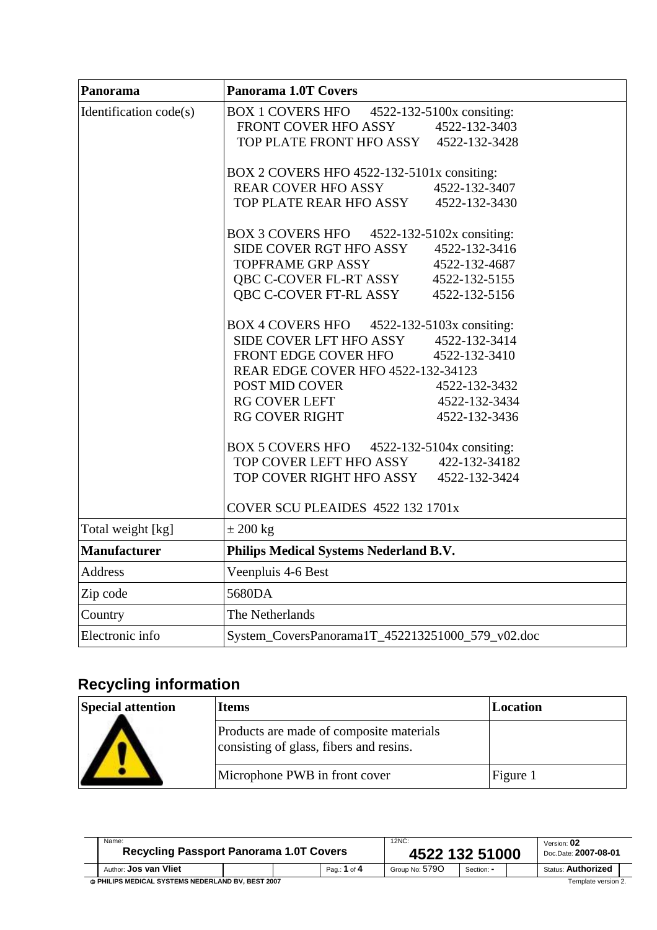| Panorama               | Panorama 1.0T Covers                             |               |  |  |  |  |
|------------------------|--------------------------------------------------|---------------|--|--|--|--|
| Identification code(s) | BOX 1 COVERS HFO 4522-132-5100x consiting:       |               |  |  |  |  |
|                        | FRONT COVER HFO ASSY                             | 4522-132-3403 |  |  |  |  |
|                        | TOP PLATE FRONT HFO ASSY 4522-132-3428           |               |  |  |  |  |
|                        | BOX 2 COVERS HFO 4522-132-5101x consiting:       |               |  |  |  |  |
|                        | <b>REAR COVER HFO ASSY</b>                       | 4522-132-3407 |  |  |  |  |
|                        | TOP PLATE REAR HFO ASSY 4522-132-3430            |               |  |  |  |  |
|                        | BOX 3 COVERS HFO 4522-132-5102x consiting:       |               |  |  |  |  |
|                        | SIDE COVER RGT HFO ASSY 4522-132-3416            |               |  |  |  |  |
|                        | <b>TOPFRAME GRP ASSY</b>                         | 4522-132-4687 |  |  |  |  |
|                        | QBC C-COVER FL-RT ASSY 4522-132-5155             |               |  |  |  |  |
|                        | QBC C-COVER FT-RL ASSY                           | 4522-132-5156 |  |  |  |  |
|                        | BOX 4 COVERS HFO 4522-132-5103x consiting:       |               |  |  |  |  |
|                        | SIDE COVER LFT HFO ASSY 4522-132-3414            |               |  |  |  |  |
|                        | FRONT EDGE COVER HFO 4522-132-3410               |               |  |  |  |  |
|                        | REAR EDGE COVER HFO 4522-132-34123               |               |  |  |  |  |
|                        | POST MID COVER                                   | 4522-132-3432 |  |  |  |  |
|                        | RG COVER LEFT                                    | 4522-132-3434 |  |  |  |  |
|                        | <b>RG COVER RIGHT</b>                            | 4522-132-3436 |  |  |  |  |
|                        | BOX 5 COVERS HFO 4522-132-5104x consiting:       |               |  |  |  |  |
|                        | TOP COVER LEFT HFO ASSY                          | 422-132-34182 |  |  |  |  |
|                        | TOP COVER RIGHT HFO ASSY 4522-132-3424           |               |  |  |  |  |
|                        | COVER SCU PLEAIDES 4522 132 1701x                |               |  |  |  |  |
| Total weight [kg]      | $\pm 200$ kg                                     |               |  |  |  |  |
| <b>Manufacturer</b>    | Philips Medical Systems Nederland B.V.           |               |  |  |  |  |
| Address                | Veenpluis 4-6 Best                               |               |  |  |  |  |
| Zip code               | 5680DA                                           |               |  |  |  |  |
| Country                | The Netherlands                                  |               |  |  |  |  |
| Electronic info        | System_CoversPanorama1T_452213251000_579_v02.doc |               |  |  |  |  |

## **Recycling information**

| <b>Special attention</b> | <b>Items</b>                                                                        | Location |
|--------------------------|-------------------------------------------------------------------------------------|----------|
|                          | Products are made of composite materials<br>consisting of glass, fibers and resins. |          |
|                          | Microphone PWB in front cover                                                       | Figure 1 |

| Name:<br><b>Recycling Passport Panorama 1.0T Covers</b> |  |  |              | 12NC:<br>4522 132 51000 |            |  | Version: 02<br>Doc.Date: 2007-08-01 |  |
|---------------------------------------------------------|--|--|--------------|-------------------------|------------|--|-------------------------------------|--|
| Author: Jos van Vliet                                   |  |  | Pag.: 1 of 4 | Group No: 5790          | Section: - |  | <b>Status: Authorized</b>           |  |
| © PHILIPS MEDICAL SYSTEMS NEDERLAND BV. BEST 2007       |  |  |              | Template version 2.     |            |  |                                     |  |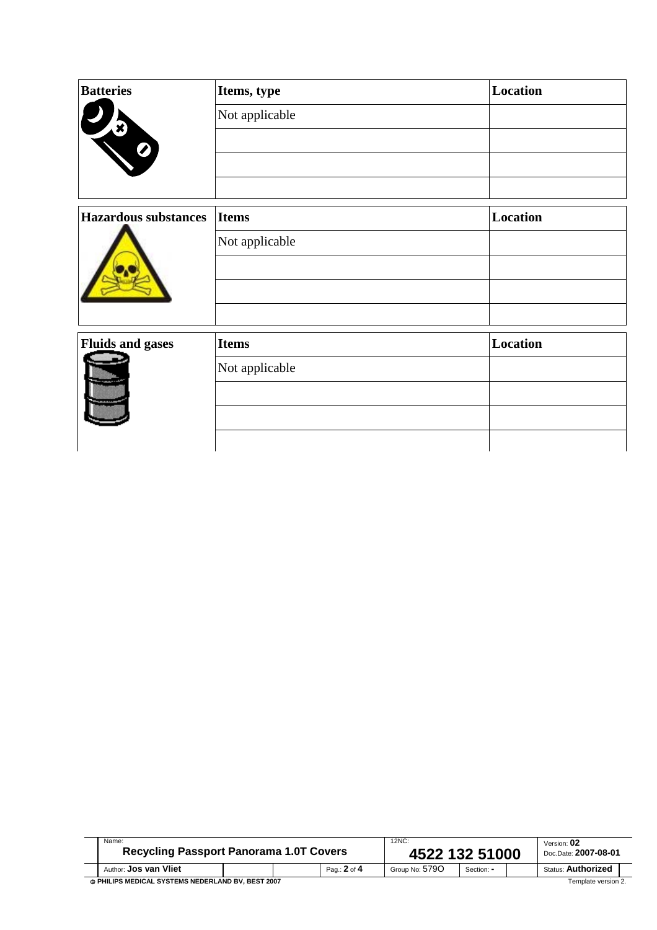| <b>Batteries</b>            | Items, type    | Location |
|-----------------------------|----------------|----------|
|                             | Not applicable |          |
| $\blacksquare$              |                |          |
|                             |                |          |
| <b>Hazardous substances</b> | <b>Items</b>   | Location |
|                             | Not applicable |          |
| <b>Fluids and gases</b>     | <b>Items</b>   | Location |
|                             | Not applicable |          |
|                             |                |          |
|                             |                |          |

| Name:<br><b>Recycling Passport Panorama 1.0T Covers</b>                  |  |  | 12NC:<br>4522 132 51000 |                |            | Version: 02<br>Doc.Date: 2007-08-01 |                           |  |
|--------------------------------------------------------------------------|--|--|-------------------------|----------------|------------|-------------------------------------|---------------------------|--|
| Author: <b>Jos van Vliet</b>                                             |  |  | Pag.: 2 of 4            | Group No: 5790 | Section: - |                                     | <b>Status: Authorized</b> |  |
| © PHILIPS MEDICAL SYSTEMS NEDERLAND BV. BEST 2007<br>Template version 2. |  |  |                         |                |            |                                     |                           |  |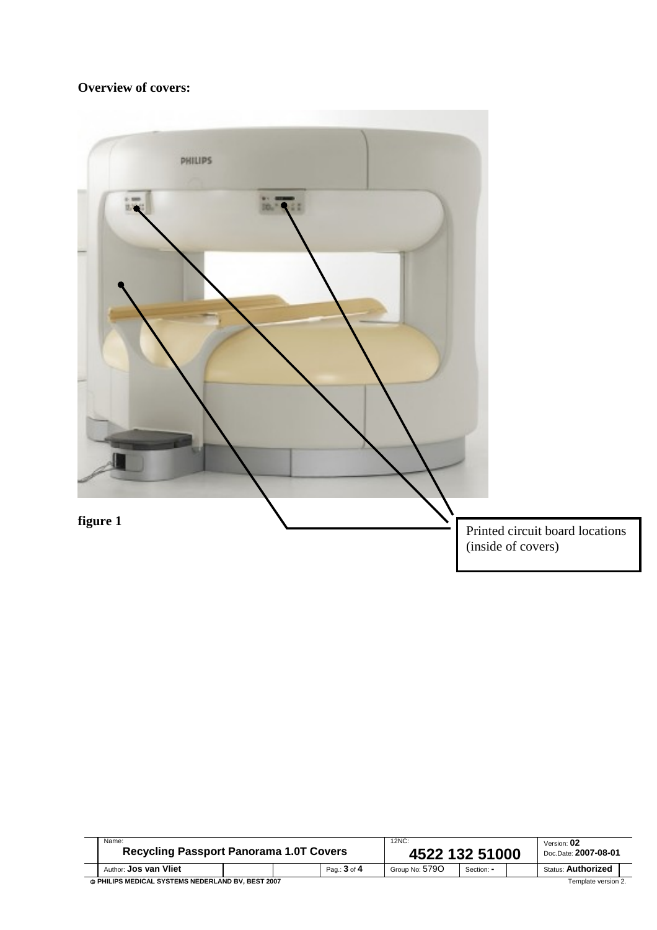## **Overview of covers:**



| Name:<br><b>Recycling Passport Panorama 1.0T Covers</b>                  |  |  | $12NC$ :<br>4522 132 51000 |                |            | Version: 02<br>Doc.Date: 2007-08-01 |                           |  |
|--------------------------------------------------------------------------|--|--|----------------------------|----------------|------------|-------------------------------------|---------------------------|--|
| Author: <b>Jos van Vliet</b>                                             |  |  | Pag.: 3 of 4               | Group No: 5790 | Section: - |                                     | <b>Status: Authorized</b> |  |
| © PHILIPS MEDICAL SYSTEMS NEDERLAND BV. BEST 2007<br>Template version 2. |  |  |                            |                |            |                                     |                           |  |